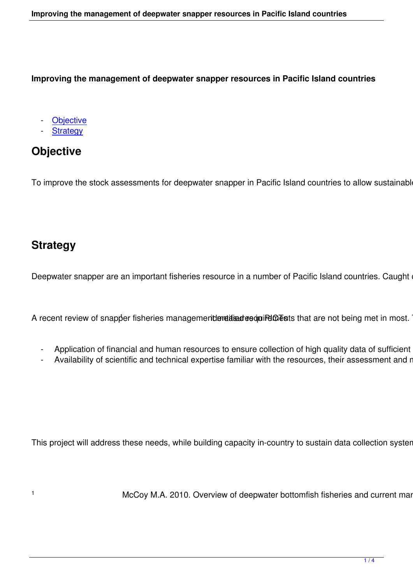**Improving the management of deepwater snapper resources in Pacific Island countries**

**Objective** 

**Strategy** 

# **Obj[ective](#tabs-1)**

To improve the stock assessments for deepwater snapper in Pacific Island countries to allow sustainable de

### **Strategy**

1

Deepwater snapper are an important fisheries resource in a number of Pacific Island countries. Caught on t

A recent review of snapper fisheries managemenden titan desqui Polo Ests that are not being met in most. The

- Application of financial and human resources to ensure collection of high quality data of sufficient cov
- Availability of scientific and technical expertise familiar with the resources, their assessment and mar

This project will address these needs, while building capacity in-country to sustain data collection systems a

McCoy M.A. 2010. Overview of deepwater bottomfish fisheries and current manag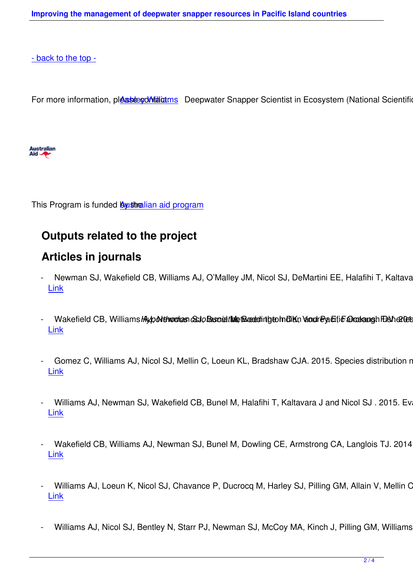[For more informat](#top)ion, please contactions Deepwater Snapper Scientist in Ecosystem (National Scientific Support)



This Program is funded **By sthe Australian and program** 

### **Outputs relate[d to the project](http://aid.dfat.gov.au/Pages/home.aspx)**

#### **Articles in journals**

- Newman SJ, Wakefield CB, Williams AJ, O'Malley JM, Nicol SJ, DeMartini EE, Halafihi T, Kaltavara Link
- [Wa](http://www.sciencedirect.com/science/article/pii/S0308597X15001797)kefield CB, Williams HypoNthromias conto Busnett Me Examinity to Indian Yondr Pyaefic Drashangh FDS hereforth Link
- [Go](http://www.sciencedirect.com/science/article/pii/S0165783615001988)mez C, Williams AJ, Nicol SJ, Mellin C, Loeun KL, Bradshaw CJA. 2015. Species distribution mod Link
- [Wi](http://journals.plos.org/plosone/article?id=10.1371/journal.pone.0127395)lliams AJ, Newman SJ, Wakefield CB, Bunel M, Halafihi T, Kaltavara J and Nicol SJ . 2015. Evalua Link
- [Wa](http://icesjms.oxfordjournals.org/content/early/2015/03/14/icesjms.fsv042.abstract)kefield CB, Williams AJ, Newman SJ, Bunel M, Dowling CE, Armstrong CA, Langlois TJ. 2014. Ra Link
- [Wi](http://www.sciencedirect.com/science/article/pii/S0165783613002385)lliams AJ, Loeun K, Nicol SJ, Chavance P, Ducrocq M, Harley SJ, Pilling GM, Allain V, Mellin C, B Link
- [Wi](http://onlinelibrary.wiley.com/doi/10.1111/jai.12123/abstract)lliams AJ, Nicol SJ, Bentley N, Starr PJ, Newman SJ, McCoy MA, Kinch J, Pilling GM, Williams PC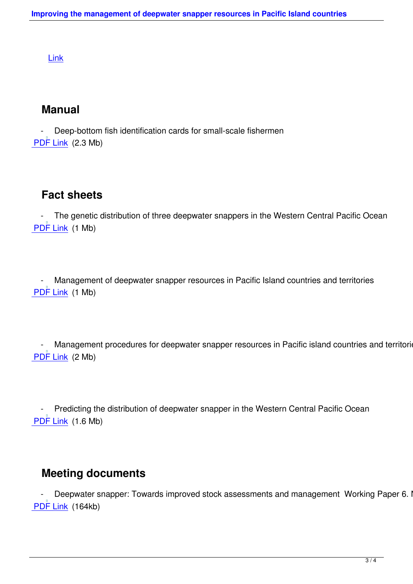## **Manual**

Deep-bottom fish identification cards for small-scale fishermen PDF Link (2.3 Mb)

# **Fact sheets**

The genetic distribution of three deepwater snappers in the Western Central Pacific Ocean PDF Link (1 Mb)

Management of deepwater snapper resources in Pacific Island countries and territories PDF Link (1 Mb)

Management procedures for deepwater snapper resources in Pacific island countries and territories PDF Link (2 Mb)

- Predicting the distribution of deepwater snapper in the Western Central Pacific Ocean PDF Link (1.6 Mb)

## **Meeting documents**

Deepwater snapper: Towards improved stock assessments and management Working Paper 6. Not PDF Link (164kb)